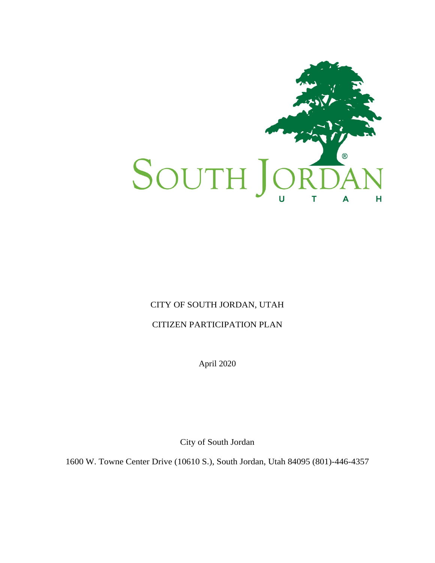

# CITY OF SOUTH JORDAN, UTAH

## CITIZEN PARTICIPATION PLAN

April 2020

City of South Jordan

1600 W. Towne Center Drive (10610 S.), South Jordan, Utah 84095 (801)-446-4357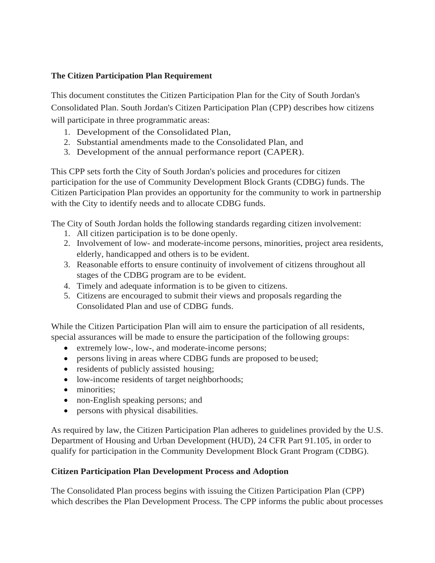## **The Citizen Participation Plan Requirement**

This document constitutes the Citizen Participation Plan for the City of South Jordan's Consolidated Plan. South Jordan's Citizen Participation Plan (CPP) describes how citizens will participate in three programmatic areas:

- 1. Development of the Consolidated Plan,
- 2. Substantial amendments made to the Consolidated Plan, and
- 3. Development of the annual performance report (CAPER).

This CPP sets forth the City of South Jordan's policies and procedures for citizen participation for the use of Community Development Block Grants (CDBG) funds. The Citizen Participation Plan provides an opportunity for the community to work in partnership with the City to identify needs and to allocate CDBG funds.

The City of South Jordan holds the following standards regarding citizen involvement:

- 1. All citizen participation is to be done openly.
- 2. Involvement of low- and moderate-income persons, minorities, project area residents, elderly, handicapped and others is to be evident.
- 3. Reasonable efforts to ensure continuity of involvement of citizens throughout all stages of the CDBG program are to be evident.
- 4. Timely and adequate information is to be given to citizens.
- 5. Citizens are encouraged to submit their views and proposals regarding the Consolidated Plan and use of CDBG funds.

While the Citizen Participation Plan will aim to ensure the participation of all residents, special assurances will be made to ensure the participation of the following groups:

- extremely low-, low-, and moderate-income persons;
- persons living in areas where CDBG funds are proposed to beused;
- residents of publicly assisted housing;
- low-income residents of target neighborhoods;
- minorities:
- non-English speaking persons; and
- persons with physical disabilities.

As required by law, the Citizen Participation Plan adheres to guidelines provided by the U.S. Department of Housing and Urban Development (HUD), 24 CFR Part 91.105, in order to qualify for participation in the Community Development Block Grant Program (CDBG).

#### **Citizen Participation Plan Development Process and Adoption**

The Consolidated Plan process begins with issuing the Citizen Participation Plan (CPP) which describes the Plan Development Process. The CPP informs the public about processes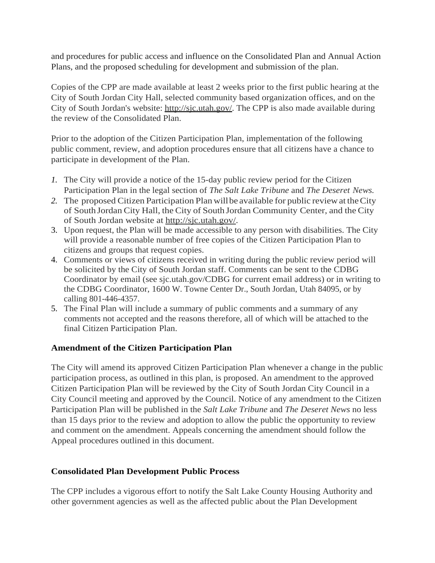and procedures for public access and influence on the Consolidated Plan and Annual Action Plans, and the proposed scheduling for development and submission of the plan.

Copies of the CPP are made available at least 2 weeks prior to the first public hearing at the City of South Jordan City Hall, selected community based organization offices, and on the City of South Jordan's website: [http://sjc.utah.gov/.](http://sjc.utah.gov/) The CPP is also made available during the review of the Consolidated Plan.

Prior to the adoption of the Citizen Participation Plan, implementation of the following public comment, review, and adoption procedures ensure that all citizens have a chance to participate in development of the Plan.

- *1.* The City will provide a notice of the 15-day public review period for the Citizen Participation Plan in the legal section of *The Salt Lake Tribune* and *The Deseret News.*
- *2.* The proposed Citizen Participation Planwillbe available for public reviewat theCity of South Jordan City Hall, the City of South Jordan Community Center, and the City of South Jordan website at [http://sjc.utah.gov/.](http://sjc.utah.gov/)
- 3. Upon request, the Plan will be made accessible to any person with disabilities. The City will provide a reasonable number of free copies of the Citizen Participation Plan to citizens and groups that request copies.
- 4. Comments or views of citizens received in writing during the public review period will be solicited by the City of South Jordan staff. Comments can be sent to the CDBG Coordinator by email (see sjc.utah.gov/CDBG for current email address) or in writing to the CDBG Coordinator, 1600 W. Towne Center Dr., South Jordan, Utah 84095, or by calling 801-446-4357.
- 5. The Final Plan will include a summary of public comments and a summary of any comments not accepted and the reasons therefore, all of which will be attached to the final Citizen Participation Plan.

# **Amendment of the Citizen Participation Plan**

The City will amend its approved Citizen Participation Plan whenever a change in the public participation process, as outlined in this plan, is proposed. An amendment to the approved Citizen Participation Plan will be reviewed by the City of South Jordan City Council in a City Council meeting and approved by the Council. Notice of any amendment to the Citizen Participation Plan will be published in the *Salt Lake Tribune* and *The Deseret News* no less than 15 days prior to the review and adoption to allow the public the opportunity to review and comment on the amendment. Appeals concerning the amendment should follow the Appeal procedures outlined in this document.

#### **Consolidated Plan Development Public Process**

The CPP includes a vigorous effort to notify the Salt Lake County Housing Authority and other government agencies as well as the affected public about the Plan Development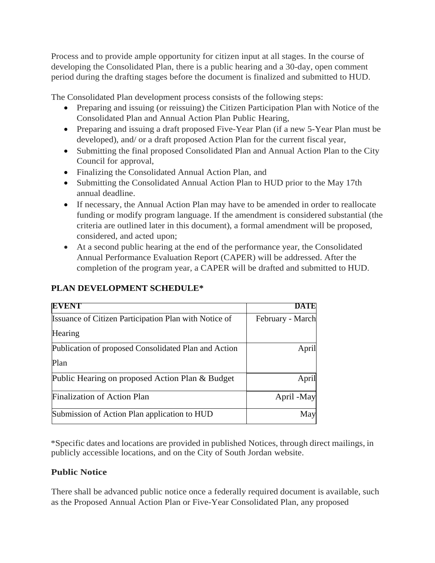Process and to provide ample opportunity for citizen input at all stages. In the course of developing the Consolidated Plan, there is a public hearing and a 30-day, open comment period during the drafting stages before the document is finalized and submitted to HUD.

The Consolidated Plan development process consists of the following steps:

- Preparing and issuing (or reissuing) the Citizen Participation Plan with Notice of the Consolidated Plan and Annual Action Plan Public Hearing,
- Preparing and issuing a draft proposed Five-Year Plan (if a new 5-Year Plan must be developed), and/ or a draft proposed Action Plan for the current fiscal year,
- Submitting the final proposed Consolidated Plan and Annual Action Plan to the City Council for approval,
- Finalizing the Consolidated Annual Action Plan, and
- Submitting the Consolidated Annual Action Plan to HUD prior to the May 17th annual deadline.
- If necessary, the Annual Action Plan may have to be amended in order to reallocate funding or modify program language. If the amendment is considered substantial (the criteria are outlined later in this document), a formal amendment will be proposed, considered, and acted upon;
- At a second public hearing at the end of the performance year, the Consolidated Annual Performance Evaluation Report (CAPER) will be addressed. After the completion of the program year, a CAPER will be drafted and submitted to HUD.

| EVENT                                                        | DA I E           |
|--------------------------------------------------------------|------------------|
| <b>Issuance of Citizen Participation Plan with Notice of</b> | February - March |
| Hearing                                                      |                  |
| Publication of proposed Consolidated Plan and Action         | April            |
| Plan                                                         |                  |
| Public Hearing on proposed Action Plan & Budget              | April            |
| <b>Finalization of Action Plan</b>                           | April -May       |
| Submission of Action Plan application to HUD                 | May              |

# **PLAN DEVELOPMENT SCHEDULE\***

\*Specific dates and locations are provided in published Notices, through direct mailings, in publicly accessible locations, and on the City of South Jordan website.

# **Public Notice**

There shall be advanced public notice once a federally required document is available, such as the Proposed Annual Action Plan or Five-Year Consolidated Plan, any proposed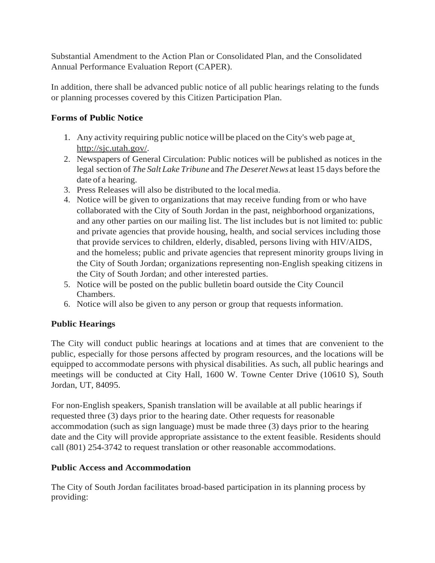Substantial Amendment to the Action Plan or Consolidated Plan, and the Consolidated Annual Performance Evaluation Report (CAPER).

In addition, there shall be advanced public notice of all public hearings relating to the funds or planning processes covered by this Citizen Participation Plan.

# **Forms of Public Notice**

- 1. Any activity requiring public notice willbe placed on the City's web page at [http://sjc.utah.gov/.](http://sjc.utah.gov/)
- 2. Newspapers of General Circulation: Public notices will be published as notices in the legal section of *The Salt Lake Tribune* and *The DeseretNews* at least 15 days before the date of a hearing.
- 3. Press Releases will also be distributed to the localmedia.
- 4. Notice will be given to organizations that may receive funding from or who have collaborated with the City of South Jordan in the past, neighborhood organizations, and any other parties on our mailing list. The list includes but is not limited to: public and private agencies that provide housing, health, and social services including those that provide services to children, elderly, disabled, persons living with HIV/AIDS, and the homeless; public and private agencies that represent minority groups living in the City of South Jordan; organizations representing non-English speaking citizens in the City of South Jordan; and other interested parties.
- 5. Notice will be posted on the public bulletin board outside the City Council Chambers.
- 6. Notice will also be given to any person or group that requests information.

# **Public Hearings**

The City will conduct public hearings at locations and at times that are convenient to the public, especially for those persons affected by program resources, and the locations will be equipped to accommodate persons with physical disabilities. As such, all public hearings and meetings will be conducted at City Hall, 1600 W. Towne Center Drive (10610 S), South Jordan, UT, 84095.

For non-English speakers, Spanish translation will be available at all public hearings if requested three (3) days prior to the hearing date. Other requests for reasonable accommodation (such as sign language) must be made three (3) days prior to the hearing date and the City will provide appropriate assistance to the extent feasible. Residents should call (801) 254-3742 to request translation or other reasonable accommodations.

# **Public Access and Accommodation**

The City of South Jordan facilitates broad-based participation in its planning process by providing: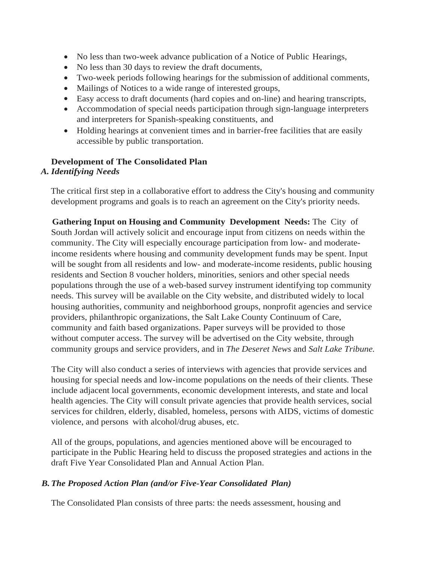- No less than two-week advance publication of a Notice of Public Hearings,
- No less than 30 days to review the draft documents,
- Two-week periods following hearings for the submission of additional comments,
- Mailings of Notices to a wide range of interested groups,
- Easy access to draft documents (hard copies and on-line) and hearing transcripts,
- Accommodation of special needs participation through sign-language interpreters and interpreters for Spanish-speaking constituents, and
- Holding hearings at convenient times and in barrier-free facilities that are easily accessible by public transportation.

# **Development of The Consolidated Plan**

## *A. Identifying Needs*

The critical first step in a collaborative effort to address the City's housing and community development programs and goals is to reach an agreement on the City's priority needs.

**Gathering Input on Housing and Community Development Needs:** The City of South Jordan will actively solicit and encourage input from citizens on needs within the community. The City will especially encourage participation from low- and moderateincome residents where housing and community development funds may be spent. Input will be sought from all residents and low- and moderate-income residents, public housing residents and Section 8 voucher holders, minorities, seniors and other special needs populations through the use of a web-based survey instrument identifying top community needs. This survey will be available on the City website, and distributed widely to local housing authorities, community and neighborhood groups, nonprofit agencies and service providers, philanthropic organizations, the Salt Lake County Continuum of Care, community and faith based organizations. Paper surveys will be provided to those without computer access. The survey will be advertised on the City website, through community groups and service providers, and in *The Deseret News* and *Salt Lake Tribune.*

The City will also conduct a series of interviews with agencies that provide services and housing for special needs and low-income populations on the needs of their clients. These include adjacent local governments, economic development interests, and state and local health agencies. The City will consult private agencies that provide health services, social services for children, elderly, disabled, homeless, persons with AIDS, victims of domestic violence, and persons with alcohol/drug abuses, etc.

All of the groups, populations, and agencies mentioned above will be encouraged to participate in the Public Hearing held to discuss the proposed strategies and actions in the draft Five Year Consolidated Plan and Annual Action Plan.

# *B.The Proposed Action Plan (and/or Five-Year Consolidated Plan)*

The Consolidated Plan consists of three parts: the needs assessment, housing and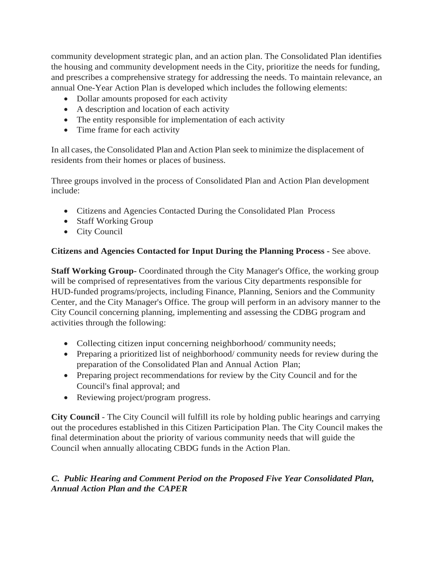community development strategic plan, and an action plan. The Consolidated Plan identifies the housing and community development needs in the City, prioritize the needs for funding, and prescribes a comprehensive strategy for addressing the needs. To maintain relevance, an annual One-Year Action Plan is developed which includes the following elements:

- Dollar amounts proposed for each activity
- A description and location of each activity
- The entity responsible for implementation of each activity
- Time frame for each activity

In all cases, the Consolidated Plan and Action Plan seek to minimize the displacement of residents from their homes or places of business.

Three groups involved in the process of Consolidated Plan and Action Plan development include:

- Citizens and Agencies Contacted During the Consolidated Plan Process
- Staff Working Group
- City Council

## **Citizens and Agencies Contacted for Input During the Planning Process -** See above.

**Staff Working Group-** Coordinated through the City Manager's Office, the working group will be comprised of representatives from the various City departments responsible for HUD-funded programs/projects, including Finance, Planning, Seniors and the Community Center, and the City Manager's Office. The group will perform in an advisory manner to the City Council concerning planning, implementing and assessing the CDBG program and activities through the following:

- Collecting citizen input concerning neighborhood/ community needs;
- Preparing a prioritized list of neighborhood/ community needs for review during the preparation of the Consolidated Plan and Annual Action Plan;
- Preparing project recommendations for review by the City Council and for the Council's final approval; and
- Reviewing project/program progress.

**City Council** - The City Council will fulfill its role by holding public hearings and carrying out the procedures established in this Citizen Participation Plan. The City Council makes the final determination about the priority of various community needs that will guide the Council when annually allocating CBDG funds in the Action Plan.

# *C. Public Hearing and Comment Period on the Proposed Five Year Consolidated Plan, Annual Action Plan and the CAPER*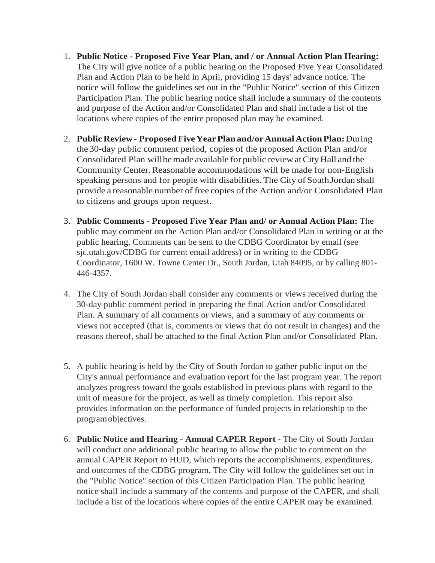- 1. **Public Notice - Proposed Five Year Plan, and / or Annual Action Plan Hearing:**  The City will give notice of a public hearing on the Proposed Five Year Consolidated Plan and Action Plan to be held in April, providing 15 days' advance notice. The notice will follow the guidelines set out in the "Public Notice" section of this Citizen Participation Plan. The public hearing notice shall include a summary of the contents and purpose of the Action and/or Consolidated Plan and shall include a list of the locations where copies of the entire proposed plan may be examined.
- 2. **Public Review- Proposed FiveYearPlanand/orAnnualActionPlan:**During the 30-day public comment period, copies of the proposed Action Plan and/or Consolidated Plan willbemade available for public review atCity Hall and the Community Center. Reasonable accommodations will be made for non-English speaking persons and for people with disabilities. The City of SouthJordan shall provide a reasonable number of free copies of the Action and/or Consolidated Plan to citizens and groups upon request.
- 3. **Public Comments - Proposed Five Year Plan and/ or Annual Action Plan:** The public may comment on the Action Plan and/or Consolidated Plan in writing or at the public hearing. Comments can be sent to the CDBG Coordinator by email (see sjc.utah.gov/CDBG for current email address) or in writing to the CDBG Coordinator, 1600 W. Towne Center Dr., South Jordan, Utah 84095, or by calling 801- 446-4357.
- 4. The City of South Jordan shall consider any comments or views received during the 30-day public comment period in preparing the final Action and/or Consolidated Plan. A summary of all comments or views, and a summary of any comments or views not accepted (that is, comments or views that do not result in changes) and the reasons thereof, shall be attached to the final Action Plan and/or Consolidated Plan.
- 5. A public hearing is held by the City of South Jordan to gather public input on the City's annual performance and evaluation report for the last program year. The report analyzes progress toward the goals established in previous plans with regard to the unit of measure for the project, as well as timely completion. This report also provides information on the performance of funded projects in relationship to the programobjectives.
- 6. **Public Notice and Hearing - Annual CAPER Report**  The City of South Jordan will conduct one additional public hearing to allow the public to comment on the annual CAPER Report to HUD, which reports the accomplishments, expenditures, and outcomes of the CDBG program. The City will follow the guidelines set out in the "Public Notice" section of this Citizen Participation Plan. The public hearing notice shall include a summary of the contents and purpose of the CAPER, and shall include a list of the locations where copies of the entire CAPER may be examined.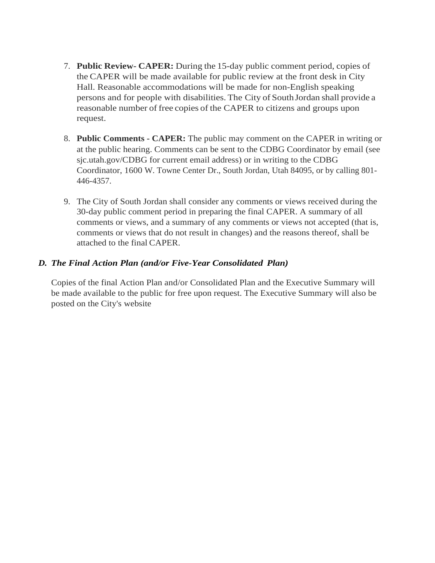- 7. **Public Review- CAPER:** During the 15-day public comment period, copies of the CAPER will be made available for public review at the front desk in City Hall. Reasonable accommodations will be made for non-English speaking persons and for people with disabilities. The City of SouthJordan shall provide a reasonable number of free copies of the CAPER to citizens and groups upon request.
- 8. **Public Comments - CAPER:** The public may comment on the CAPER in writing or at the public hearing. Comments can be sent to the CDBG Coordinator by email (see sjc.utah.gov/CDBG for current email address) or in writing to the CDBG Coordinator, 1600 W. Towne Center Dr., South Jordan, Utah 84095, or by calling 801- 446-4357.
- 9. The City of South Jordan shall consider any comments or views received during the 30-day public comment period in preparing the final CAPER. A summary of all comments or views, and a summary of any comments or views not accepted (that is, comments or views that do not result in changes) and the reasons thereof, shall be attached to the final CAPER.

#### *D. The Final Action Plan (and/or Five-Year Consolidated Plan)*

Copies of the final Action Plan and/or Consolidated Plan and the Executive Summary will be made available to the public for free upon request. The Executive Summary will also be posted on the City's website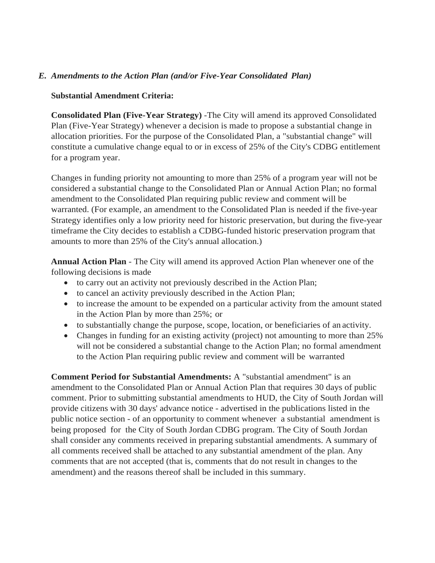## *E. Amendments to the Action Plan (and/or Five-Year Consolidated Plan)*

#### **Substantial Amendment Criteria:**

**Consolidated Plan (Five-Year Strategy)** -The City will amend its approved Consolidated Plan (Five-Year Strategy) whenever a decision is made to propose a substantial change in allocation priorities. For the purpose of the Consolidated Plan, a "substantial change" will constitute a cumulative change equal to or in excess of 25% of the City's CDBG entitlement for a program year.

Changes in funding priority not amounting to more than 25% of a program year will not be considered a substantial change to the Consolidated Plan or Annual Action Plan; no formal amendment to the Consolidated Plan requiring public review and comment will be warranted. (For example, an amendment to the Consolidated Plan is needed if the five-year Strategy identifies only a low priority need for historic preservation, but during the five-year timeframe the City decides to establish a CDBG-funded historic preservation program that amounts to more than 25% of the City's annual allocation.)

**Annual Action Plan** - The City will amend its approved Action Plan whenever one of the following decisions is made

- to carry out an activity not previously described in the Action Plan;
- to cancel an activity previously described in the Action Plan;
- to increase the amount to be expended on a particular activity from the amount stated in the Action Plan by more than 25%; or
- to substantially change the purpose, scope, location, or beneficiaries of an activity.
- Changes in funding for an existing activity (project) not amounting to more than 25% will not be considered a substantial change to the Action Plan; no formal amendment to the Action Plan requiring public review and comment will be warranted

**Comment Period for Substantial Amendments:** A "substantial amendment" is an amendment to the Consolidated Plan or Annual Action Plan that requires 30 days of public comment. Prior to submitting substantial amendments to HUD, the City of South Jordan will provide citizens with 30 days' advance notice - advertised in the publications listed in the public notice section - of an opportunity to comment whenever a substantial amendment is being proposed for the City of South Jordan CDBG program. The City of South Jordan shall consider any comments received in preparing substantial amendments. A summary of all comments received shall be attached to any substantial amendment of the plan. Any comments that are not accepted (that is, comments that do not result in changes to the amendment) and the reasons thereof shall be included in this summary.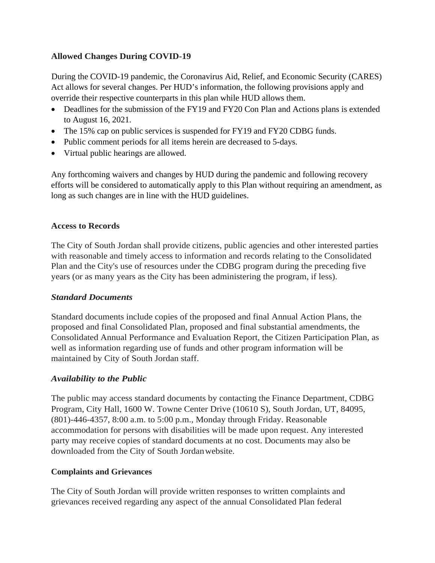## **Allowed Changes During COVID-19**

During the COVID-19 pandemic, the Coronavirus Aid, Relief, and Economic Security (CARES) Act allows for several changes. Per HUD's information, the following provisions apply and override their respective counterparts in this plan while HUD allows them.

- Deadlines for the submission of the FY19 and FY20 Con Plan and Actions plans is extended to August 16, 2021.
- The 15% cap on public services is suspended for FY19 and FY20 CDBG funds.
- Public comment periods for all items herein are decreased to 5-days.
- Virtual public hearings are allowed.

Any forthcoming waivers and changes by HUD during the pandemic and following recovery efforts will be considered to automatically apply to this Plan without requiring an amendment, as long as such changes are in line with the HUD guidelines.

#### **Access to Records**

The City of South Jordan shall provide citizens, public agencies and other interested parties with reasonable and timely access to information and records relating to the Consolidated Plan and the City's use of resources under the CDBG program during the preceding five years (or as many years as the City has been administering the program, if less).

#### *Standard Documents*

Standard documents include copies of the proposed and final Annual Action Plans, the proposed and final Consolidated Plan, proposed and final substantial amendments, the Consolidated Annual Performance and Evaluation Report, the Citizen Participation Plan, as well as information regarding use of funds and other program information will be maintained by City of South Jordan staff.

#### *Availability to the Public*

The public may access standard documents by contacting the Finance Department, CDBG Program, City Hall, 1600 W. Towne Center Drive (10610 S), South Jordan, UT, 84095, (801)-446-4357, 8:00 a.m. to 5:00 p.m., Monday through Friday. Reasonable accommodation for persons with disabilities will be made upon request. Any interested party may receive copies of standard documents at no cost. Documents may also be downloaded from the City of South Jordanwebsite.

#### **Complaints and Grievances**

The City of South Jordan will provide written responses to written complaints and grievances received regarding any aspect of the annual Consolidated Plan federal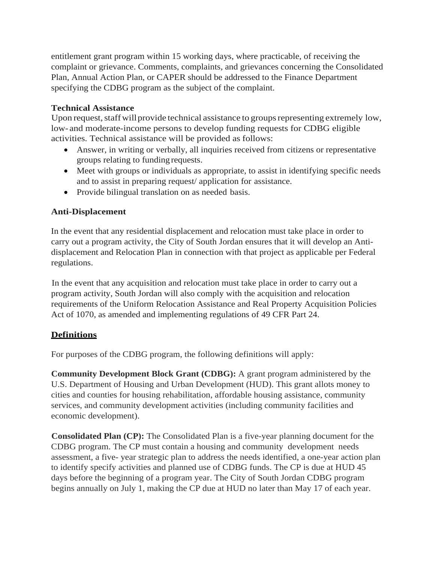entitlement grant program within 15 working days, where practicable, of receiving the complaint or grievance. Comments, complaints, and grievances concerning the Consolidated Plan, Annual Action Plan, or CAPER should be addressed to the Finance Department specifying the CDBG program as the subject of the complaint.

## **Technical Assistance**

Upon request, staff will provide technical assistance to groups representing extremely low, low- and moderate-income persons to develop funding requests for CDBG eligible activities. Technical assistance will be provided as follows:

- Answer, in writing or verbally, all inquiries received from citizens or representative groups relating to funding requests.
- Meet with groups or individuals as appropriate, to assist in identifying specific needs and to assist in preparing request/ application for assistance.
- Provide bilingual translation on as needed basis.

## **Anti-Displacement**

In the event that any residential displacement and relocation must take place in order to carry out a program activity, the City of South Jordan ensures that it will develop an Antidisplacement and Relocation Plan in connection with that project as applicable per Federal regulations.

In the event that any acquisition and relocation must take place in order to carry out a program activity, South Jordan will also comply with the acquisition and relocation requirements of the Uniform Relocation Assistance and Real Property Acquisition Policies Act of 1070, as amended and implementing regulations of 49 CFR Part 24.

# **Definitions**

For purposes of the CDBG program, the following definitions will apply:

**Community Development Block Grant (CDBG):** A grant program administered by the U.S. Department of Housing and Urban Development (HUD). This grant allots money to cities and counties for housing rehabilitation, affordable housing assistance, community services, and community development activities (including community facilities and economic development).

**Consolidated Plan (CP):** The Consolidated Plan is a five-year planning document for the CDBG program. The CP must contain a housing and community development needs assessment, a five- year strategic plan to address the needs identified, a one-year action plan to identify specify activities and planned use of CDBG funds. The CP is due at HUD 45 days before the beginning of a program year. The City of South Jordan CDBG program begins annually on July 1, making the CP due at HUD no later than May 17 of each year.